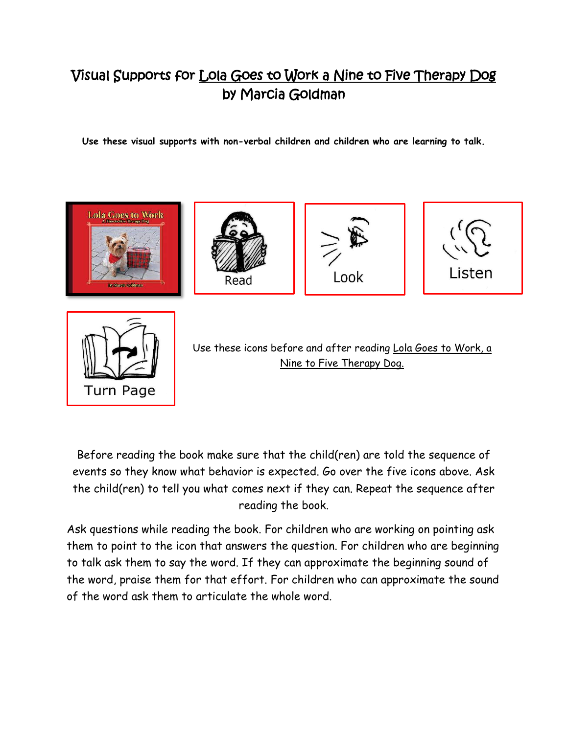## Visual Supports for Lola Goes to Work a Nine to Five Therapy Dog by Marcia Goldman

**Use these visual supports with non-verbal children and children who are learning to talk.**



Before reading the book make sure that the child(ren) are told the sequence of events so they know what behavior is expected. Go over the five icons above. Ask the child(ren) to tell you what comes next if they can. Repeat the sequence after reading the book.

**Turn Page** 

Ask questions while reading the book. For children who are working on pointing ask them to point to the icon that answers the question. For children who are beginning to talk ask them to say the word. If they can approximate the beginning sound of the word, praise them for that effort. For children who can approximate the sound of the word ask them to articulate the whole word.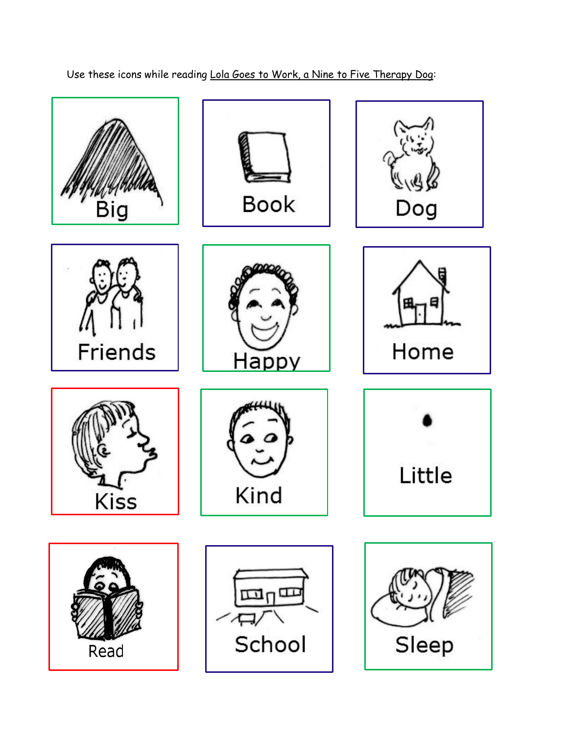

Use these icons while reading Lola Goes to Work, a Nine to Five Therapy Dog: